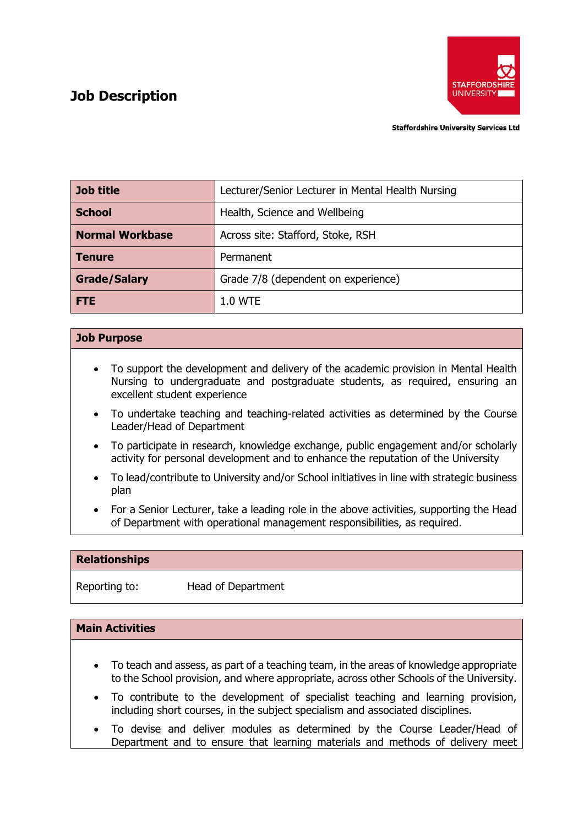# **Job Description**



**Staffordshire University Services Ltd** 

| Job title              | Lecturer/Senior Lecturer in Mental Health Nursing |
|------------------------|---------------------------------------------------|
| <b>School</b>          | Health, Science and Wellbeing                     |
| <b>Normal Workbase</b> | Across site: Stafford, Stoke, RSH                 |
| <b>Tenure</b>          | Permanent                                         |
| <b>Grade/Salary</b>    | Grade 7/8 (dependent on experience)               |
| <b>FTE</b>             | 1.0 WTE                                           |

# **Job Purpose**

- To support the development and delivery of the academic provision in Mental Health Nursing to undergraduate and postgraduate students, as required, ensuring an excellent student experience
- To undertake teaching and teaching-related activities as determined by the Course Leader/Head of Department
- To participate in research, knowledge exchange, public engagement and/or scholarly activity for personal development and to enhance the reputation of the University
- To lead/contribute to University and/or School initiatives in line with strategic business plan
- For a Senior Lecturer, take a leading role in the above activities, supporting the Head of Department with operational management responsibilities, as required.

# **Relationships**

Reporting to: Head of Department

#### **Main Activities**

- To teach and assess, as part of a teaching team, in the areas of knowledge appropriate to the School provision, and where appropriate, across other Schools of the University.
- To contribute to the development of specialist teaching and learning provision, including short courses, in the subject specialism and associated disciplines.
- To devise and deliver modules as determined by the Course Leader/Head of Department and to ensure that learning materials and methods of delivery meet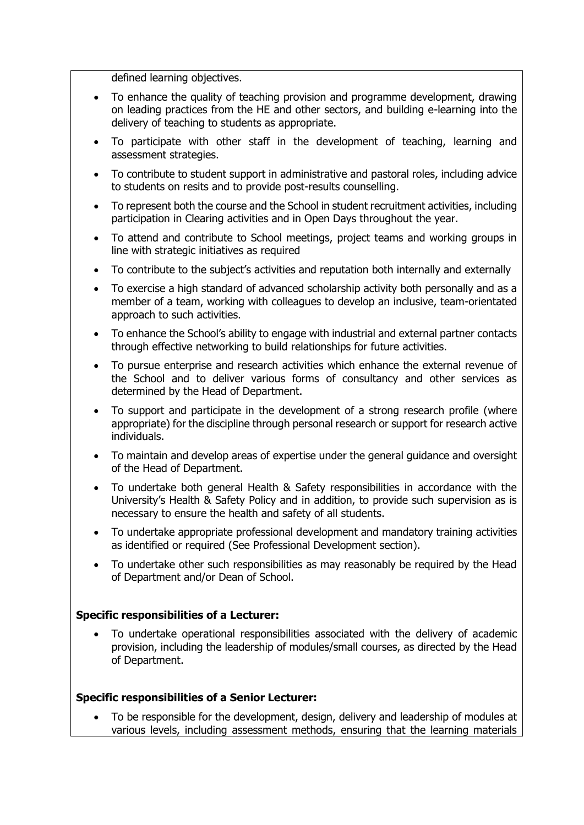defined learning objectives.

- To enhance the quality of teaching provision and programme development, drawing on leading practices from the HE and other sectors, and building e-learning into the delivery of teaching to students as appropriate.
- To participate with other staff in the development of teaching, learning and assessment strategies.
- To contribute to student support in administrative and pastoral roles, including advice to students on resits and to provide post-results counselling.
- To represent both the course and the School in student recruitment activities, including participation in Clearing activities and in Open Days throughout the year.
- To attend and contribute to School meetings, project teams and working groups in line with strategic initiatives as required
- To contribute to the subject's activities and reputation both internally and externally
- To exercise a high standard of advanced scholarship activity both personally and as a member of a team, working with colleagues to develop an inclusive, team-orientated approach to such activities.
- To enhance the School's ability to engage with industrial and external partner contacts through effective networking to build relationships for future activities.
- To pursue enterprise and research activities which enhance the external revenue of the School and to deliver various forms of consultancy and other services as determined by the Head of Department.
- To support and participate in the development of a strong research profile (where appropriate) for the discipline through personal research or support for research active individuals.
- To maintain and develop areas of expertise under the general guidance and oversight of the Head of Department.
- To undertake both general Health & Safety responsibilities in accordance with the University's Health & Safety Policy and in addition, to provide such supervision as is necessary to ensure the health and safety of all students.
- To undertake appropriate professional development and mandatory training activities as identified or required (See Professional Development section).
- To undertake other such responsibilities as may reasonably be required by the Head of Department and/or Dean of School.

#### **Specific responsibilities of a Lecturer:**

• To undertake operational responsibilities associated with the delivery of academic provision, including the leadership of modules/small courses, as directed by the Head of Department.

#### **Specific responsibilities of a Senior Lecturer:**

• To be responsible for the development, design, delivery and leadership of modules at various levels, including assessment methods, ensuring that the learning materials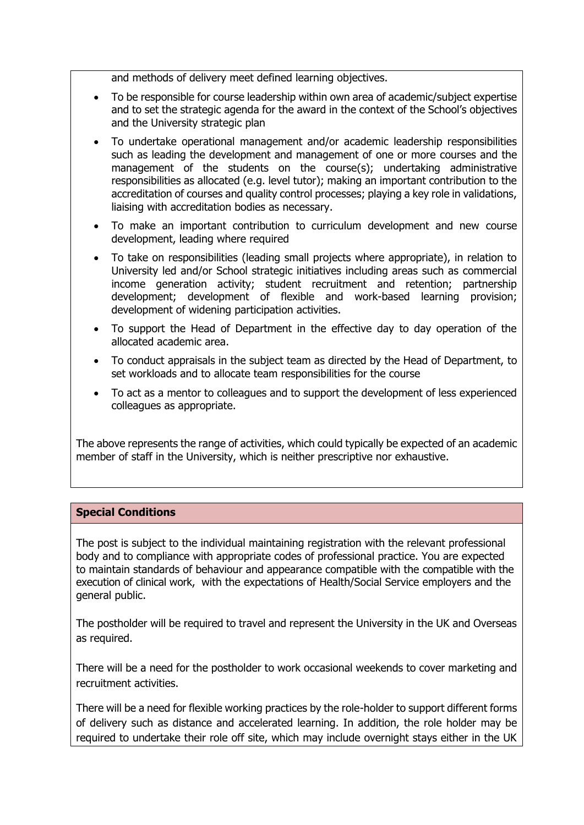and methods of delivery meet defined learning objectives.

- To be responsible for course leadership within own area of academic/subject expertise and to set the strategic agenda for the award in the context of the School's objectives and the University strategic plan
- To undertake operational management and/or academic leadership responsibilities such as leading the development and management of one or more courses and the management of the students on the course(s); undertaking administrative responsibilities as allocated (e.g. level tutor); making an important contribution to the accreditation of courses and quality control processes; playing a key role in validations, liaising with accreditation bodies as necessary.
- To make an important contribution to curriculum development and new course development, leading where required
- To take on responsibilities (leading small projects where appropriate), in relation to University led and/or School strategic initiatives including areas such as commercial income generation activity; student recruitment and retention; partnership development; development of flexible and work-based learning provision; development of widening participation activities.
- To support the Head of Department in the effective day to day operation of the allocated academic area.
- To conduct appraisals in the subject team as directed by the Head of Department, to set workloads and to allocate team responsibilities for the course
- To act as a mentor to colleagues and to support the development of less experienced colleagues as appropriate.

The above represents the range of activities, which could typically be expected of an academic member of staff in the University, which is neither prescriptive nor exhaustive.

# **Special Conditions**

The post is subject to the individual maintaining registration with the relevant professional body and to compliance with appropriate codes of professional practice. You are expected to maintain standards of behaviour and appearance compatible with the compatible with the execution of clinical work, with the expectations of Health/Social Service employers and the general public.

The postholder will be required to travel and represent the University in the UK and Overseas as required.

There will be a need for the postholder to work occasional weekends to cover marketing and recruitment activities.

There will be a need for flexible working practices by the role-holder to support different forms of delivery such as distance and accelerated learning. In addition, the role holder may be required to undertake their role off site, which may include overnight stays either in the UK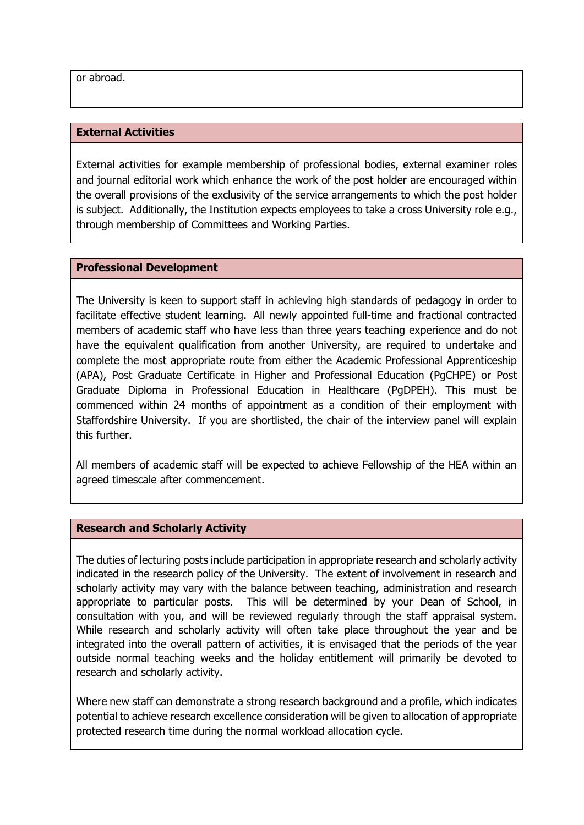or abroad.

#### **External Activities**

External activities for example membership of professional bodies, external examiner roles and journal editorial work which enhance the work of the post holder are encouraged within the overall provisions of the exclusivity of the service arrangements to which the post holder is subject. Additionally, the Institution expects employees to take a cross University role e.g., through membership of Committees and Working Parties.

#### **Professional Development**

The University is keen to support staff in achieving high standards of pedagogy in order to facilitate effective student learning. All newly appointed full-time and fractional contracted members of academic staff who have less than three years teaching experience and do not have the equivalent qualification from another University, are required to undertake and complete the most appropriate route from either the Academic Professional Apprenticeship (APA), Post Graduate Certificate in Higher and Professional Education (PgCHPE) or Post Graduate Diploma in Professional Education in Healthcare (PgDPEH). This must be commenced within 24 months of appointment as a condition of their employment with Staffordshire University. If you are shortlisted, the chair of the interview panel will explain this further.

All members of academic staff will be expected to achieve Fellowship of the HEA within an agreed timescale after commencement.

#### **Research and Scholarly Activity**

The duties of lecturing posts include participation in appropriate research and scholarly activity indicated in the research policy of the University. The extent of involvement in research and scholarly activity may vary with the balance between teaching, administration and research appropriate to particular posts. This will be determined by your Dean of School, in consultation with you, and will be reviewed regularly through the staff appraisal system. While research and scholarly activity will often take place throughout the year and be integrated into the overall pattern of activities, it is envisaged that the periods of the year outside normal teaching weeks and the holiday entitlement will primarily be devoted to research and scholarly activity.

Where new staff can demonstrate a strong research background and a profile, which indicates potential to achieve research excellence consideration will be given to allocation of appropriate protected research time during the normal workload allocation cycle.